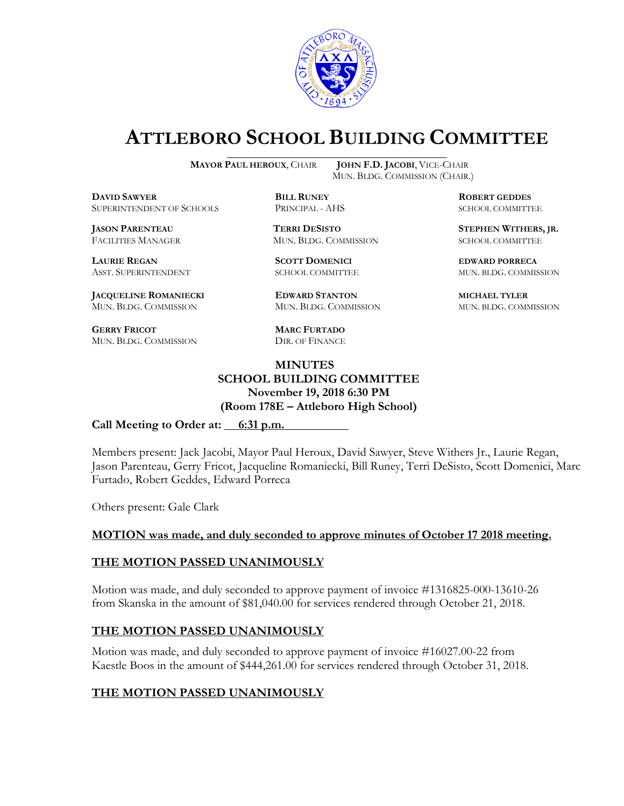

# **ATTLEBORO SCHOOL BUILDING COMMITTEE**

**MAYOR PAUL HEROUX**, CHAIR **JOHN F.D. JACOBI**, VICE-CHAIR

**DAVID SAWYER BILL RUNEY ROBERT GEDDES** SUPERINTENDENT OF SCHOOLS PRINCIPAL - AHS SCHOOL COMMITTEE

FACILITIES MANAGER MUN. BLDG. COMMISSION SCHOOL COMMITTEE

**LAURIE REGAN SCOTT DOMENICI EDWARD PORRECA**

**JACQUELINE ROMANIECKI EDWARD STANTON MICHAEL TYLER** MUN. BLDG. COMMISSION MUN. BLDG. COMMISSION MUN. BLDG. COMMISSION

**GERRY FRICOT MARC FURTADO** MUN. BLDG. COMMISSION DIR. OF FINANCE

MUN. BLDG. COMMISSION (CHAIR.)

**JASON PARENTEAU TERRI DESISTO STEPHEN WITHERS, JR.**

ASST. SUPERINTENDENT SCHOOL COMMITTEE MUN. BLDG. COMMISSION

#### **MINUTES SCHOOL BUILDING COMMITTEE November 19, 2018 6:30 PM (Room 178E – Attleboro High School)**

Call Meeting to Order at: 6:31 p.m.

Members present: Jack Jacobi, Mayor Paul Heroux, David Sawyer, Steve Withers Jr., Laurie Regan, Jason Parenteau, Gerry Fricot, Jacqueline Romaniecki, Bill Runey, Terri DeSisto, Scott Domenici, Marc Furtado, Robert Geddes, Edward Porreca

Others present: Gale Clark

#### **MOTION was made, and duly seconded to approve minutes of October 17 2018 meeting.**

#### **THE MOTION PASSED UNANIMOUSLY**

Motion was made, and duly seconded to approve payment of invoice #1316825-000-13610-26 from Skanska in the amount of \$81,040.00 for services rendered through October 21, 2018.

## **THE MOTION PASSED UNANIMOUSLY**

Motion was made, and duly seconded to approve payment of invoice #16027.00-22 from Kaestle Boos in the amount of \$444,261.00 for services rendered through October 31, 2018.

## **THE MOTION PASSED UNANIMOUSLY**